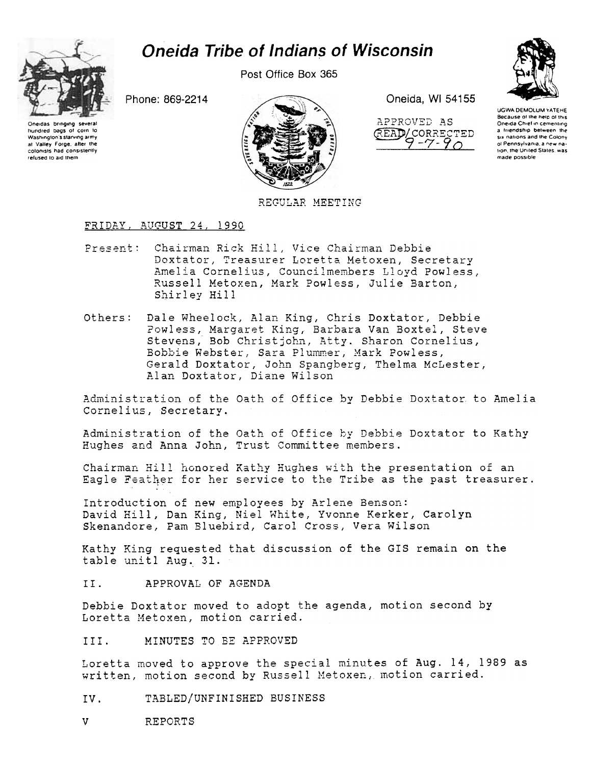# **Oneida Tribe of Indians of Wisconsin**

Post Office Box 365



Washington's starving army

at Valley Forge, after the<br>colonists had consistently

refused to aid them



Oneida, WI 54155



**UGWA DEMOLUM YATEHE** Because of the help of this<br>Oneida Chief in cementing a friendship between the six nations and the Colony of Pennsylvania, a new nation, the United States, was made possible

# REGULAR MEETING

# FRIDAY, AUGUST 24, 1990

Phone: 869-2214

- Chairman Rick Hill, Vice Chairman Debbie Present: Doxtator, Treasurer Loretta Metoxen, Secretary Amelia Cornelius, Councilmembers Lloyd Powless, Russell Metoxen, Mark Powless, Julie Barton, Shirley Hill
- Dale Wheelock, Alan King, Chris Doxtator, Debbie Others: Powless, Margaret King, Barbara Van Boxtel, Steve Stevens, Bob Christjohn, Atty. Sharon Cornelius, Bobbie Webster, Sara Plummer, Mark Powless, Gerald Doxtator, John Spangberg, Thelma McLester, Alan Doxtator, Diane Wilson

Administration of the Oath of Office by Debbie Doxtator to Amelia Cornelius, Secretary.

Administration of the Oath of Office by Debbie Doxtator to Kathy Hughes and Anna John, Trust Committee members.

Chairman Hill honored Kathy Hughes with the presentation of an Eagle Feather for her service to the Tribe as the past treasurer.

Introduction of new employees by Arlene Benson: David Hill, Dan King, Niel White, Yvonne Kerker, Carolyn Skenandore, Pam Bluebird, Carol Cross, Vera Wilson

Kathy King requested that discussion of the GIS remain on the table unitl Aug. 31.

APPROVAL OF AGENDA II.

Debbie Doxtator moved to adopt the agenda, motion second by Loretta Metoxen, motion carried.

MINUTES TO BE APPROVED III.

Loretta moved to approve the special minutes of Aug. 14, 1989 as written, motion second by Russell Metoxen, motion carried.

- TABLED/UNFINISHED BUSINESS IV.
- $\mathbf{V}$ **REPORTS**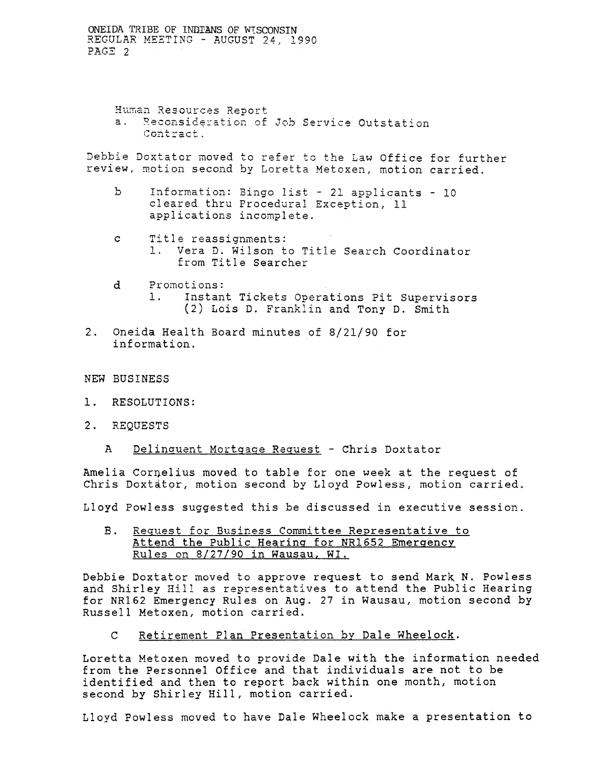> Human Resources Report Reconsideration of Job Service Outstation  $a.$ Contract.

Debbie Doxtator moved to refer to the Law Office for further review, motion second by Loretta Metoxen, motion carried.

- $\mathbf{b}$ Information: Bingo list - 21 applicants - 10 cleared thru Procedural Exception, 11 applications incomplete.
- Title reassignments:  $\mathbf{C}$ 1. Vera D. Wilson to Title Search Coordinator from Title Searcher
- Promotions:  $\mathbf d$  $1.$ Instant Tickets Operations Pit Supervisors (2) Lois D. Franklin and Tony D. Smith
- 2. Oneida Health Board minutes of 8/21/90 for information.
- NEW BUSINESS
- $1.$ RESOLUTIONS:
- 2. REQUESTS
	- Delinquent Mortgage Request Chris Doxtator  $\mathbf{A}$

Amelia Cornelius moved to table for one week at the request of Chris Doxtator, motion second by Lloyd Powless, motion carried.

Lloyd Powless suggested this be discussed in executive session.

 $B.$ Request for Business Committee Representative to Attend the Public Hearing for NR1652 Emergency Rules on 8/27/90 in Wausau, WI.

Debbie Doxtator moved to approve request to send Mark N. Powless and Shirley Hill as representatives to attend the Public Hearing for NR162 Emergency Rules on Aug. 27 in Wausau, motion second by Russell Metoxen, motion carried.

 $\mathbf C$ Retirement Plan Presentation by Dale Wheelock.

Loretta Metoxen moved to provide Dale with the information needed from the Personnel Office and that individuals are not to be identified and then to report back within one month, motion second by Shirley Hill, motion carried.

Lloyd Powless moved to have Dale Wheelock make a presentation to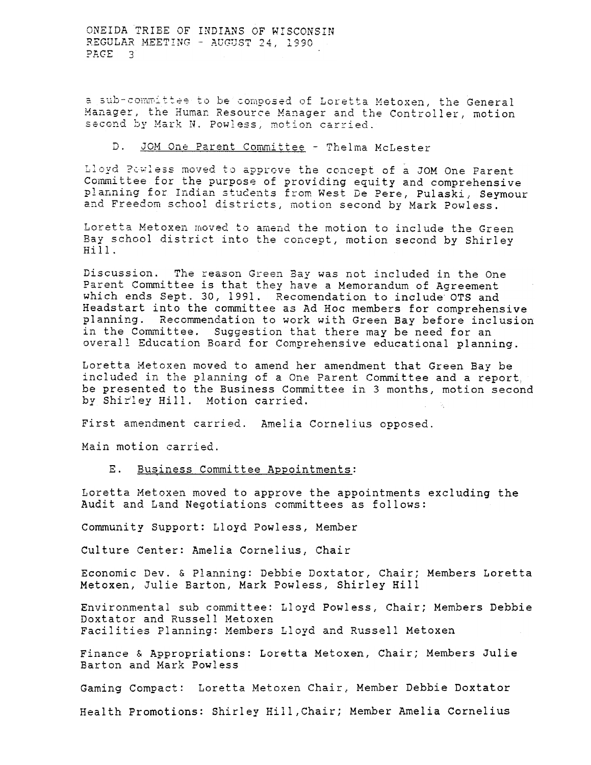a sub-committee to be composed of Loretta Metoxen, the General Manager, the Human Resource Manager and the Controller, motion second by Mark N. Powless, motion carried.

## D. JOM One Parent Committee - Thelma McLester

Lloyd Powless moved to approve the concept of a JOM One Parent Committee for the purpose of providing equity and comprehensive planning for Indian students from West De Pere, Pulaski, Seymour and Freedom school districts, motion second by Mark Powless.

Loretta Metoxen moved to amend the motion to include the Green Bay school district into the concept, motion second by Shirley  $Hi$ <sup> $11$ </sup>.

Discussion. The reason Green Bay was not included in the One Parent Committee is that they have a Memorandum of Agreement which ends Sept. 30, 1991. Recomendation to include OTS and Headstart into the committee as Ad Hoc members for comprehensive planning. Recommendation to work with Green Bay before inclusion in the Committee. Suggestion that there may be need for an overall Education Board for Comprehensive educational planning.

Loretta Metoxen moved to amend her amendment that Green Bay be included in the planning of a One Parent Committee and a report, be presented to the Business Committee in 3 months, motion second by Shirley Hill. Motion carried.

First amendment carried. Amelia Cornelius opposed.

Main motion carried.

### E. Business Committee Appointments:

Loretta Metoxen moved to approve the appointments excluding the Audit and Land Negotiations committees as follows:

Community Support: Lloyd Powless, Member

Culture Center: Amelia Cornelius, Chair

Economic Dev. & Planning: Debbie Doxtator, Chair; Members Loretta Metoxen, Julie Barton, Mark Powless, Shirley Hill

Environmental sub committee: Lloyd Powless, Chair; Members Debbie Doxtator and Russell Metoxen Facilities Planning: Members Lloyd and Russell Metoxen

Finance & Appropriations: Loretta Metoxen, Chair; Members Julie Barton and Mark Powless

Gaming Compact: Loretta Metoxen Chair, Member Debbie Doxtator

Health Promotions: Shirley Hill, Chair; Member Amelia Cornelius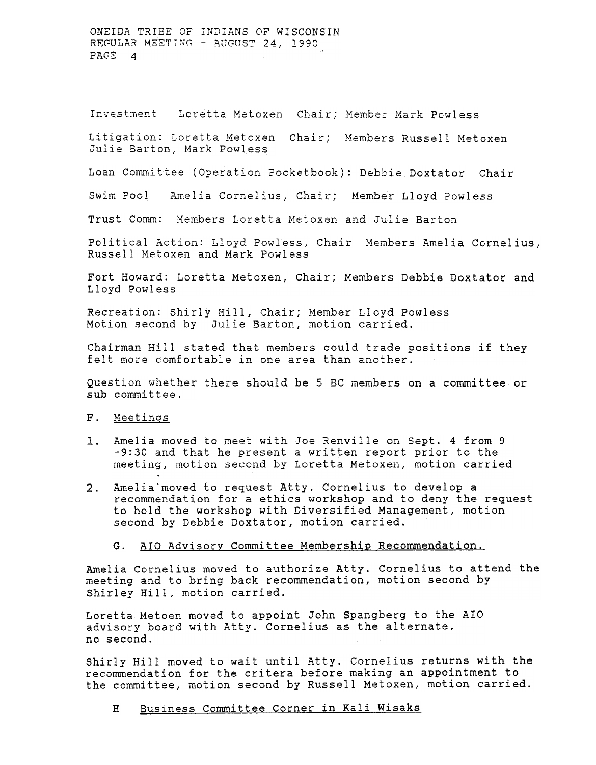Investment Loretta Metoxen Chair; Member Mark Powless

Litigation: Loretta Metoxen Chair; Members Russell Metoxen Julie Barton, Mark Powless

Loan Committee (Operation Pocketbook): Debbie Doxtator Chair

Swim Pool Amelia Cornelius, Chair; Member Lloyd Powless

Trust Comm: Members Loretta Metoxen and Julie Barton

Political Action: Lloyd Powless, Chair Members Amelia Cornelius, Russell Metoxen and Mark Powless

Fort Howard: Loretta Metoxen, Chair; Members Debbie Doxtator and Lloyd Powless

Recreation: Shirly Hill, Chair; Member Lloyd Powless Motion second by Julie Barton, motion carried.

Chairman Hill stated that members could trade positions if they felt more comfortable in one area than another.

Question whether there should be 5 BC members on a committee or sub committee.

# F. Meetings

- 1. Amelia moved to meet with Joe Renville on Sept. 4 from 9 -9:30 and that he present a written report prior to the meeting, motion second by Loretta Metoxen, motion carried
- Amelia moved to request Atty. Cornelius to develop a  $2.$ recommendation for a ethics workshop and to deny the request to hold the workshop with Diversified Management, motion second by Debbie Doxtator, motion carried.
	- AIO Advisory Committee Membership Recommendation.  $G_{\infty}$

Amelia Cornelius moved to authorize Atty. Cornelius to attend the meeting and to bring back recommendation, motion second by Shirley Hill, motion carried.

Loretta Metoen moved to appoint John Spangberg to the AIO advisory board with Atty. Cornelius as the alternate, no second.

Shirly Hill moved to wait until Atty. Cornelius returns with the recommendation for the critera before making an appointment to the committee, motion second by Russell Metoxen, motion carried.

Business Committee Corner in Kali Wisaks  $H$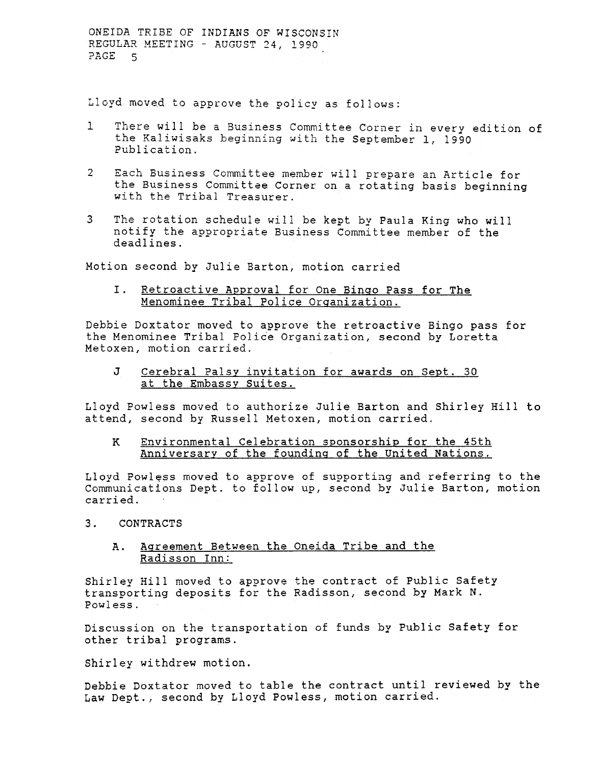Lloyd moved to approve the policy as follows:

- There will be a Business Committee Corner in every edition of 1. the Kaliwisaks beginning with the September 1, 1990<br>Publication.
- 2 Each Business Committee member will prepare an Article for the Business Committee Corner on a rotating basis beginning with the Tribal Treasurer.
- 3 The rotation schedule will be kept by Paula King who will notify the appropriate Business Committee member of the deadlines.

Motion second by Julie Barton, motion carried

I. Retroactive Approval for One Binqo Pass for The Menominee Tribal Police Orqanization.

Debbie Doxtator moved to approve the retroactive Bingo pass for the Menominee Tribal Police Organization, second by Loretta Metoxen, motion carried.

J Cerebral Palsy invitation for awards on Sept. 30 at the Embassy Suites.

Lloyd Powless moved to authorize Julie Barton and Shirley Hill to attend, second by Russell Metoxen, motion carried.

#### Environmental Celebration sponsorship for the 45th Anniversary of the foundinq of the United Nations. K

Lloyd Powless moved to approve of supporting and referring to the Communications Dept. to follow up, second by Julie Barton, motion carried.

## 3. CONTRACTS

#### Aqreement Between the Oneida Tribe and the Radisson Inn: A.

Shirley Hill moved to approve the contract of Public Safety transporting deposits for the Radisson, second by Mark N. Powless.

Discussion on the transportation of funds by Public Safety for other tribal programs.

Shirley withdrew motion.

Debbie Doxtator moved to table the contract until reviewed by the Law Dept., second by Lloyd Powless, motion carried.